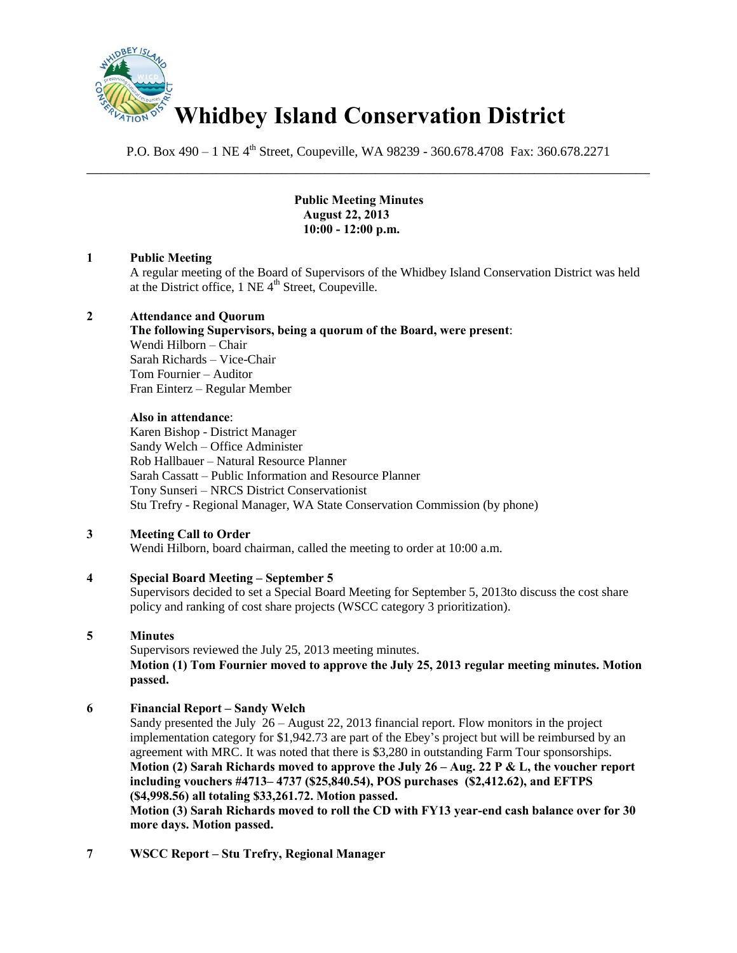

P.O. Box 490 – 1 NE 4<sup>th</sup> Street, Coupeville, WA 98239 - 360.678.4708 Fax: 360.678.2271 \_\_\_\_\_\_\_\_\_\_\_\_\_\_\_\_\_\_\_\_\_\_\_\_\_\_\_\_\_\_\_\_\_\_\_\_\_\_\_\_\_\_\_\_\_\_\_\_\_\_\_\_\_\_\_\_\_\_\_\_\_\_\_\_\_\_\_\_\_\_\_\_\_\_\_\_\_\_

> **Public Meeting Minutes August 22, 2013 10:00 - 12:00 p.m.**

# **1 Public Meeting**

A regular meeting of the Board of Supervisors of the Whidbey Island Conservation District was held at the District office,  $1$  NE  $4<sup>th</sup>$  Street, Coupeville.

## **2 Attendance and Quorum**

## **The following Supervisors, being a quorum of the Board, were present**: Wendi Hilborn – Chair Sarah Richards – Vice-Chair Tom Fournier – Auditor Fran Einterz – Regular Member

## **Also in attendance**:

Karen Bishop - District Manager Sandy Welch – Office Administer Rob Hallbauer – Natural Resource Planner Sarah Cassatt – Public Information and Resource Planner Tony Sunseri – NRCS District Conservationist Stu Trefry - Regional Manager, WA State Conservation Commission (by phone)

# **3 Meeting Call to Order**

Wendi Hilborn, board chairman, called the meeting to order at 10:00 a.m.

# **4 Special Board Meeting – September 5**

Supervisors decided to set a Special Board Meeting for September 5, 2013to discuss the cost share policy and ranking of cost share projects (WSCC category 3 prioritization).

# **5 Minutes**

Supervisors reviewed the July 25, 2013 meeting minutes. **Motion (1) Tom Fournier moved to approve the July 25, 2013 regular meeting minutes. Motion passed.** 

# **6 Financial Report – Sandy Welch**

Sandy presented the July 26 – August 22, 2013 financial report. Flow monitors in the project implementation category for \$1,942.73 are part of the Ebey's project but will be reimbursed by an agreement with MRC. It was noted that there is \$3,280 in outstanding Farm Tour sponsorships. **Motion (2) Sarah Richards moved to approve the July 26 – Aug. 22 P & L, the voucher report including vouchers #4713– 4737 (\$25,840.54), POS purchases (\$2,412.62), and EFTPS (\$4,998.56) all totaling \$33,261.72. Motion passed.** 

**Motion (3) Sarah Richards moved to roll the CD with FY13 year-end cash balance over for 30 more days. Motion passed.** 

**7 WSCC Report – Stu Trefry, Regional Manager**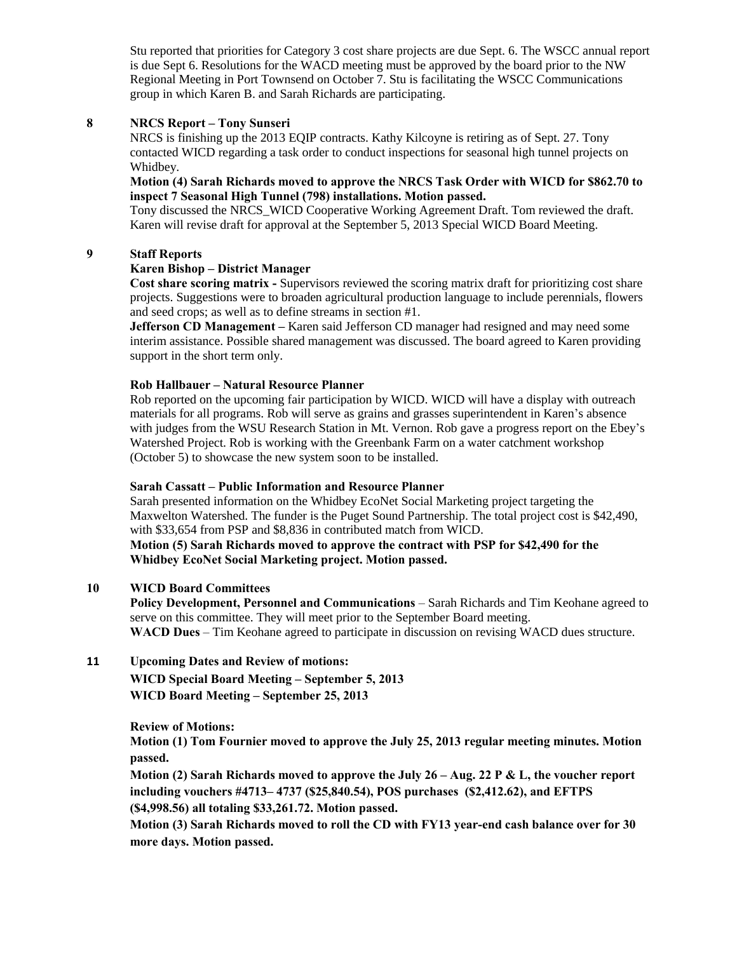Stu reported that priorities for Category 3 cost share projects are due Sept. 6. The WSCC annual report is due Sept 6. Resolutions for the WACD meeting must be approved by the board prior to the NW Regional Meeting in Port Townsend on October 7. Stu is facilitating the WSCC Communications group in which Karen B. and Sarah Richards are participating.

# **8 NRCS Report – Tony Sunseri**

NRCS is finishing up the 2013 EQIP contracts. Kathy Kilcoyne is retiring as of Sept. 27. Tony contacted WICD regarding a task order to conduct inspections for seasonal high tunnel projects on Whidbey.

### **Motion (4) Sarah Richards moved to approve the NRCS Task Order with WICD for \$862.70 to inspect 7 Seasonal High Tunnel (798) installations. Motion passed.**

Tony discussed the NRCS\_WICD Cooperative Working Agreement Draft. Tom reviewed the draft. Karen will revise draft for approval at the September 5, 2013 Special WICD Board Meeting.

## **9 Staff Reports**

# **Karen Bishop – District Manager**

 **Cost share scoring matrix -** Supervisors reviewed the scoring matrix draft for prioritizing cost share projects. Suggestions were to broaden agricultural production language to include perennials, flowers and seed crops; as well as to define streams in section #1.

**Jefferson CD Management** – Karen said Jefferson CD manager had resigned and may need some interim assistance. Possible shared management was discussed. The board agreed to Karen providing support in the short term only.

### **Rob Hallbauer – Natural Resource Planner**

 Rob reported on the upcoming fair participation by WICD. WICD will have a display with outreach materials for all programs. Rob will serve as grains and grasses superintendent in Karen's absence with judges from the WSU Research Station in Mt. Vernon. Rob gave a progress report on the Ebey's Watershed Project. Rob is working with the Greenbank Farm on a water catchment workshop (October 5) to showcase the new system soon to be installed.

### **Sarah Cassatt – Public Information and Resource Planner**

Sarah presented information on the Whidbey EcoNet Social Marketing project targeting the Maxwelton Watershed. The funder is the Puget Sound Partnership. The total project cost is \$42,490, with \$33,654 from PSP and \$8,836 in contributed match from WICD.

 **Motion (5) Sarah Richards moved to approve the contract with PSP for \$42,490 for the Whidbey EcoNet Social Marketing project. Motion passed.** 

# **10 WICD Board Committees**

 **Policy Development, Personnel and Communications** – Sarah Richards and Tim Keohane agreed to serve on this committee. They will meet prior to the September Board meeting. **WACD Dues** – Tim Keohane agreed to participate in discussion on revising WACD dues structure.

# **11 Upcoming Dates and Review of motions:**

**WICD Special Board Meeting – September 5, 2013 WICD Board Meeting – September 25, 2013** 

**Review of Motions:** 

**Motion (1) Tom Fournier moved to approve the July 25, 2013 regular meeting minutes. Motion passed.** 

**Motion (2) Sarah Richards moved to approve the July 26 – Aug. 22 P & L, the voucher report including vouchers #4713– 4737 (\$25,840.54), POS purchases (\$2,412.62), and EFTPS (\$4,998.56) all totaling \$33,261.72. Motion passed.** 

**Motion (3) Sarah Richards moved to roll the CD with FY13 year-end cash balance over for 30 more days. Motion passed.**